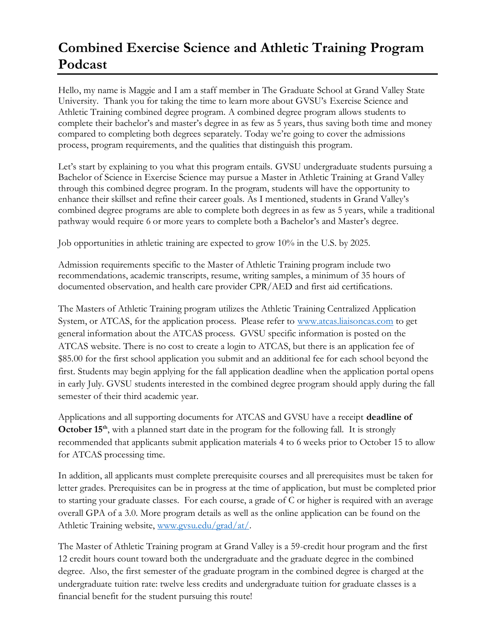## **Combined Exercise Science and Athletic Training Program Podcast**

Hello, my name is Maggie and I am a staff member in The Graduate School at Grand Valley State University. Thank you for taking the time to learn more about GVSU's Exercise Science and Athletic Training combined degree program. A combined degree program allows students to complete their bachelor's and master's degree in as few as 5 years, thus saving both time and money compared to completing both degrees separately. Today we're going to cover the admissions process, program requirements, and the qualities that distinguish this program.

Let's start by explaining to you what this program entails. GVSU undergraduate students pursuing a Bachelor of Science in Exercise Science may pursue a Master in Athletic Training at Grand Valley through this combined degree program. In the program, students will have the opportunity to enhance their skillset and refine their career goals. As I mentioned, students in Grand Valley's combined degree programs are able to complete both degrees in as few as 5 years, while a traditional pathway would require 6 or more years to complete both a Bachelor's and Master's degree.

Job opportunities in athletic training are expected to grow 10% in the U.S. by 2025.

Admission requirements specific to the Master of Athletic Training program include two recommendations, academic transcripts, resume, writing samples, a minimum of 35 hours of documented observation, and health care provider CPR/AED and first aid certifications.

The Masters of Athletic Training program utilizes the Athletic Training Centralized Application System, or ATCAS, for the application process. Please refer to [www.atcas.liaisoncas.com](http://www.atcas.liaisoncas.com/) to get general information about the ATCAS process. GVSU specific information is posted on the ATCAS website. There is no cost to create a login to ATCAS, but there is an application fee of \$85.00 for the first school application you submit and an additional fee for each school beyond the first. Students may begin applying for the fall application deadline when the application portal opens in early July. GVSU students interested in the combined degree program should apply during the fall semester of their third academic year.

Applications and all supporting documents for ATCAS and GVSU have a receipt **deadline of October 15<sup>th</sup>**, with a planned start date in the program for the following fall. It is strongly recommended that applicants submit application materials 4 to 6 weeks prior to October 15 to allow for ATCAS processing time.

In addition, all applicants must complete prerequisite courses and all prerequisites must be taken for letter grades. Prerequisites can be in progress at the time of application, but must be completed prior to starting your graduate classes. For each course, a grade of C or higher is required with an average overall GPA of a 3.0. More program details as well as the online application can be found on the Athletic Training website, [www.gvsu.edu/grad/at/.](https://www.gvsu.edu/grad/at/)

The Master of Athletic Training program at Grand Valley is a 59-credit hour program and the first 12 credit hours count toward both the undergraduate and the graduate degree in the combined degree. Also, the first semester of the graduate program in the combined degree is charged at the undergraduate tuition rate: twelve less credits and undergraduate tuition for graduate classes is a financial benefit for the student pursuing this route!